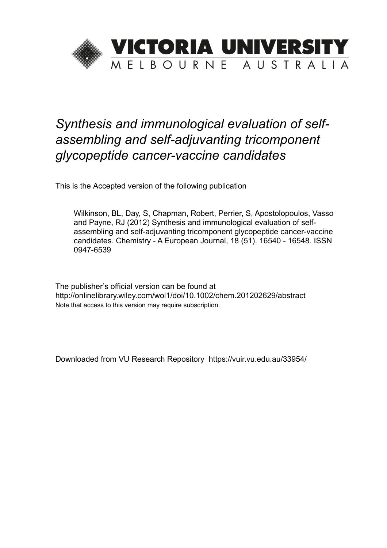

# *Synthesis and immunological evaluation of selfassembling and self-adjuvanting tricomponent glycopeptide cancer-vaccine candidates*

This is the Accepted version of the following publication

Wilkinson, BL, Day, S, Chapman, Robert, Perrier, S, Apostolopoulos, Vasso and Payne, RJ (2012) Synthesis and immunological evaluation of selfassembling and self-adjuvanting tricomponent glycopeptide cancer-vaccine candidates. Chemistry - A European Journal, 18 (51). 16540 - 16548. ISSN 0947-6539

The publisher's official version can be found at http://onlinelibrary.wiley.com/wol1/doi/10.1002/chem.201202629/abstract Note that access to this version may require subscription.

Downloaded from VU Research Repository https://vuir.vu.edu.au/33954/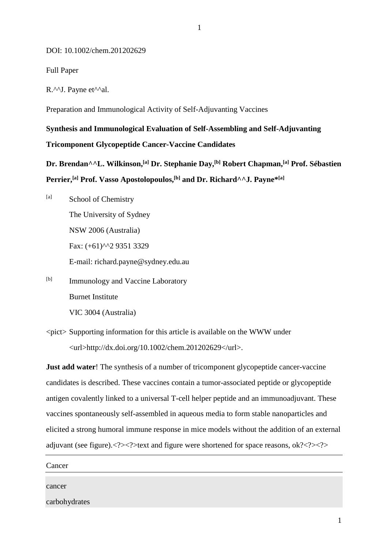1

#### DOI: 10.1002/chem.201202629

Full Paper

R.^^J. Payne et^^al.

Preparation and Immunological Activity of Self-Adjuvanting Vaccines

# **Synthesis and Immunological Evaluation of Self-Assembling and Self-Adjuvanting Tricomponent Glycopeptide Cancer-Vaccine Candidates**

**Dr. Brendan^^L. Wilkinson,[a] Dr. Stephanie Day,[b] Robert Chapman,[a] Prof. Sébastien Perrier,[a] Prof. Vasso Apostolopoulos,[b] and Dr. Richard^^J. Payne\*[a]**

[a] School of Chemistry The University of Sydney NSW 2006 (Australia) Fax:  $(+61)^{A}2$  9351 3329 E-mail: richard.payne@sydney.edu.au

- [b] Immunology and Vaccine Laboratory Burnet Institute VIC 3004 (Australia)
- $\le$ pict $>$  Supporting information for this article is available on the WWW under <url>http://dx.doi.org/10.1002/chem.201202629</url>.

**Just add water!** The synthesis of a number of tricomponent glycopeptide cancer-vaccine candidates is described. These vaccines contain a tumor-associated peptide or glycopeptide antigen covalently linked to a universal T-cell helper peptide and an immunoadjuvant. These vaccines spontaneously self-assembled in aqueous media to form stable nanoparticles and elicited a strong humoral immune response in mice models without the addition of an external adjuvant (see figure). $\langle$ ? $\rangle$  text and figure were shortened for space reasons, ok? $\langle$ ? $\rangle$   $\langle$ ? $\rangle$ 

| Cancer        |  |  |
|---------------|--|--|
|               |  |  |
| cancer        |  |  |
| carbohydrates |  |  |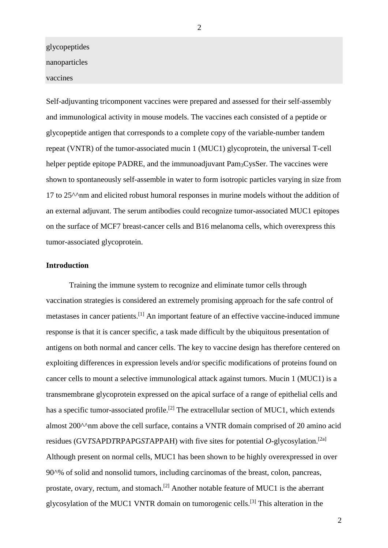glycopeptides nanoparticles vaccines

Self-adjuvanting tricomponent vaccines were prepared and assessed for their self-assembly and immunological activity in mouse models. The vaccines each consisted of a peptide or glycopeptide antigen that corresponds to a complete copy of the variable-number tandem repeat (VNTR) of the tumor-associated mucin 1 (MUC1) glycoprotein, the universal T-cell helper peptide epitope PADRE, and the immunoadjuvant Pam<sub>3</sub>CysSer. The vaccines were shown to spontaneously self-assemble in water to form isotropic particles varying in size from 17 to 25<sup>^^</sup>nm and elicited robust humoral responses in murine models without the addition of an external adjuvant. The serum antibodies could recognize tumor-associated MUC1 epitopes on the surface of MCF7 breast-cancer cells and B16 melanoma cells, which overexpress this tumor-associated glycoprotein.

## **Introduction**

Training the immune system to recognize and eliminate tumor cells through vaccination strategies is considered an extremely promising approach for the safe control of metastases in cancer patients.[1] An important feature of an effective vaccine-induced immune response is that it is cancer specific, a task made difficult by the ubiquitous presentation of antigens on both normal and cancer cells. The key to vaccine design has therefore centered on exploiting differences in expression levels and/or specific modifications of proteins found on cancer cells to mount a selective immunological attack against tumors. Mucin 1 (MUC1) is a transmembrane glycoprotein expressed on the apical surface of a range of epithelial cells and has a specific tumor-associated profile.<sup>[2]</sup> The extracellular section of MUC1, which extends almost 200<sup> $\land\land$ </sup>nm above the cell surface, contains a VNTR domain comprised of 20 amino acid residues (GV*TS*APD*T*RPAPG*ST*APPAH) with five sites for potential *O*-glycosylation. [2a] Although present on normal cells, MUC1 has been shown to be highly overexpressed in over 90^% of solid and nonsolid tumors, including carcinomas of the breast, colon, pancreas, prostate, ovary, rectum, and stomach.[2] Another notable feature of MUC1 is the aberrant glycosylation of the MUC1 VNTR domain on tumorogenic cells.[3] This alteration in the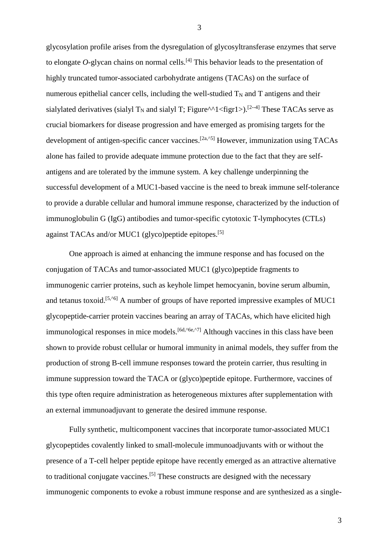glycosylation profile arises from the dysregulation of glycosyltransferase enzymes that serve to elongate  $O$ -glycan chains on normal cells.<sup>[4]</sup> This behavior leads to the presentation of highly truncated tumor-associated carbohydrate antigens (TACAs) on the surface of numerous epithelial cancer cells, including the well-studied  $T_N$  and  $T$  antigens and their sialylated derivatives (sialyl T<sub>N</sub> and sialyl T; Figure<sup> $\wedge$ 1<figr1>).<sup>[2--4]</sup> These TACAs serve as</sup> crucial biomarkers for disease progression and have emerged as promising targets for the development of antigen-specific cancer vaccines.<sup>[2a, $\triangle$ 5]</sup> However, immunization using TACAs alone has failed to provide adequate immune protection due to the fact that they are selfantigens and are tolerated by the immune system. A key challenge underpinning the successful development of a MUC1-based vaccine is the need to break immune self-tolerance to provide a durable cellular and humoral immune response, characterized by the induction of immunoglobulin G (IgG) antibodies and tumor-specific cytotoxic T-lymphocytes (CTLs) against TACAs and/or MUC1 (glyco)peptide epitopes.<sup>[5]</sup>

One approach is aimed at enhancing the immune response and has focused on the conjugation of TACAs and tumor-associated MUC1 (glyco)peptide fragments to immunogenic carrier proteins, such as keyhole limpet hemocyanin, bovine serum albumin, and tetanus toxoid.<sup>[5, $\textdegree$ 6]</sup> A number of groups of have reported impressive examples of MUC1 glycopeptide-carrier protein vaccines bearing an array of TACAs, which have elicited high immunological responses in mice models.<sup>[6d, $\text{6e}$ , $\text{67}$ ] Although vaccines in this class have been</sup> shown to provide robust cellular or humoral immunity in animal models, they suffer from the production of strong B-cell immune responses toward the protein carrier, thus resulting in immune suppression toward the TACA or (glyco)peptide epitope. Furthermore, vaccines of this type often require administration as heterogeneous mixtures after supplementation with an external immunoadjuvant to generate the desired immune response.

Fully synthetic, multicomponent vaccines that incorporate tumor-associated MUC1 glycopeptides covalently linked to small-molecule immunoadjuvants with or without the presence of a T-cell helper peptide epitope have recently emerged as an attractive alternative to traditional conjugate vaccines.[5] These constructs are designed with the necessary immunogenic components to evoke a robust immune response and are synthesized as a single-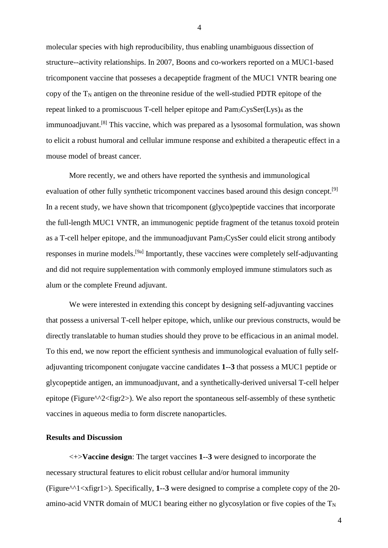molecular species with high reproducibility, thus enabling unambiguous dissection of structure--activity relationships. In 2007, Boons and co-workers reported on a MUC1-based tricomponent vaccine that posseses a decapeptide fragment of the MUC1 VNTR bearing one copy of the  $T_N$  antigen on the threonine residue of the well-studied PDTR epitope of the repeat linked to a promiscuous T-cell helper epitope and  $Pam_3CysSer(Lys)_4$  as the immunoadjuvant.<sup>[8]</sup> This vaccine, which was prepared as a lysosomal formulation, was shown to elicit a robust humoral and cellular immune response and exhibited a therapeutic effect in a mouse model of breast cancer.

More recently, we and others have reported the synthesis and immunological evaluation of other fully synthetic tricomponent vaccines based around this design concept.<sup>[9]</sup> In a recent study, we have shown that tricomponent (glyco)peptide vaccines that incorporate the full-length MUC1 VNTR, an immunogenic peptide fragment of the tetanus toxoid protein as a T-cell helper epitope, and the immunoadjuvant Pam3CysSer could elicit strong antibody responses in murine models.[9a] Importantly, these vaccines were completely self-adjuvanting and did not require supplementation with commonly employed immune stimulators such as alum or the complete Freund adjuvant.

We were interested in extending this concept by designing self-adjuvanting vaccines that possess a universal T-cell helper epitope, which, unlike our previous constructs, would be directly translatable to human studies should they prove to be efficacious in an animal model. To this end, we now report the efficient synthesis and immunological evaluation of fully selfadjuvanting tricomponent conjugate vaccine candidates **1**--**3** that possess a MUC1 peptide or glycopeptide antigen, an immunoadjuvant, and a synthetically-derived universal T-cell helper epitope (Figure^^2<figr2>). We also report the spontaneous self-assembly of these synthetic vaccines in aqueous media to form discrete nanoparticles.

#### **Results and Discussion**

<+>**Vaccine design**: The target vaccines **1**--**3** were designed to incorporate the necessary structural features to elicit robust cellular and/or humoral immunity (Figure^^1<xfigr1>). Specifically, **1**--**3** were designed to comprise a complete copy of the 20 amino-acid VNTR domain of MUC1 bearing either no glycosylation or five copies of the  $T_N$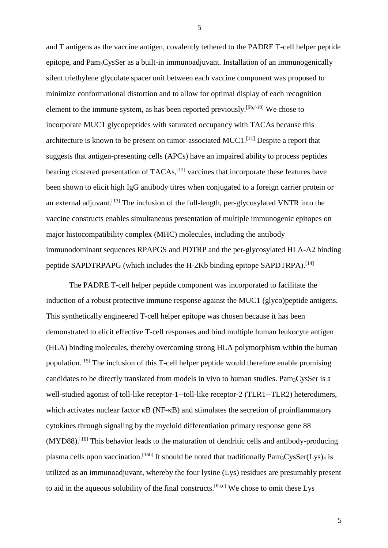and T antigens as the vaccine antigen, covalently tethered to the PADRE T-cell helper peptide epitope, and Pam3CysSer as a built-in immunoadjuvant. Installation of an immunogenically silent triethylene glycolate spacer unit between each vaccine component was proposed to minimize conformational distortion and to allow for optimal display of each recognition element to the immune system, as has been reported previously.<sup>[9b, $\triangle$ 10]</sup> We chose to incorporate MUC1 glycopeptides with saturated occupancy with TACAs because this architecture is known to be present on tumor-associated MUC1.<sup>[11]</sup> Despite a report that suggests that antigen-presenting cells (APCs) have an impaired ability to process peptides bearing clustered presentation of TACAs,<sup>[12]</sup> vaccines that incorporate these features have been shown to elicit high IgG antibody titres when conjugated to a foreign carrier protein or an external adjuvant.  $[13]$  The inclusion of the full-length, per-glycosylated VNTR into the vaccine constructs enables simultaneous presentation of multiple immunogenic epitopes on major histocompatibility complex (MHC) molecules, including the antibody immunodominant sequences RPAPGS and PDTRP and the per-glycosylated HLA-A2 binding peptide SAPDTRPAPG (which includes the H-2Kb binding epitope SAPDTRPA).<sup>[14]</sup>

The PADRE T-cell helper peptide component was incorporated to facilitate the induction of a robust protective immune response against the MUC1 (glyco)peptide antigens. This synthetically engineered T-cell helper epitope was chosen because it has been demonstrated to elicit effective T-cell responses and bind multiple human leukocyte antigen (HLA) binding molecules, thereby overcoming strong HLA polymorphism within the human population.[15] The inclusion of this T-cell helper peptide would therefore enable promising candidates to be directly translated from models in vivo to human studies. Pam3CysSer is a well-studied agonist of toll-like receptor-1--toll-like receptor-2 (TLR1--TLR2) heterodimers, which activates nuclear factor κB (NF-κB) and stimulates the secretion of proinflammatory cytokines through signaling by the myeloid differentiation primary response gene 88 (MYD88).<sup>[16]</sup> This behavior leads to the maturation of dendritic cells and antibody-producing plasma cells upon vaccination.<sup>[16b]</sup> It should be noted that traditionally  $Pam_3CysSer(Lys)_4$  is utilized as an immunoadjuvant, whereby the four lysine (Lys) residues are presumably present to aid in the aqueous solubility of the final constructs.<sup>[8a,c]</sup> We chose to omit these Lys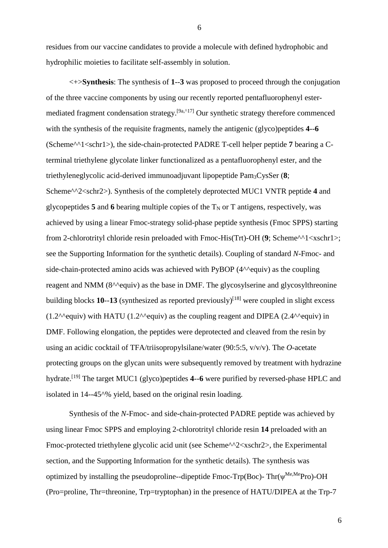residues from our vaccine candidates to provide a molecule with defined hydrophobic and hydrophilic moieties to facilitate self-assembly in solution.

<+>**Synthesis**: The synthesis of **1**--**3** was proposed to proceed through the conjugation of the three vaccine components by using our recently reported pentafluorophenyl estermediated fragment condensation strategy.[9a,^17] Our synthetic strategy therefore commenced with the synthesis of the requisite fragments, namely the antigenic (glyco)peptides **4**--**6** (Scheme^^1<schr1>), the side-chain-protected PADRE T-cell helper peptide **7** bearing a Cterminal triethylene glycolate linker functionalized as a pentafluorophenyl ester, and the triethyleneglycolic acid-derived immunoadjuvant lipopeptide Pam3CysSer (**8**; Scheme^^2<schr2>). Synthesis of the completely deprotected MUC1 VNTR peptide **4** and glycopeptides 5 and 6 bearing multiple copies of the  $T_N$  or T antigens, respectively, was achieved by using a linear Fmoc-strategy solid-phase peptide synthesis (Fmoc SPPS) starting from 2-chlorotrityl chloride resin preloaded with Fmoc-His(Trt)-OH (**9**; Scheme^^1<xschr1>; see the Supporting Information for the synthetic details). Coupling of standard *N*-Fmoc- and side-chain-protected amino acids was achieved with PyBOP (4^^equiv) as the coupling reagent and NMM (8^^equiv) as the base in DMF. The glycosylserine and glycosylthreonine building blocks **10**--**13** (synthesized as reported previously) [18] were coupled in slight excess  $(1.2^{\text{A}}$ equiv) with HATU  $(1.2^{\text{A}}$ equiv) as the coupling reagent and DIPEA  $(2.4^{\text{A}}$ equiv) in DMF. Following elongation, the peptides were deprotected and cleaved from the resin by using an acidic cocktail of TFA/triisopropylsilane/water (90:5:5, v/v/v). The *O*-acetate protecting groups on the glycan units were subsequently removed by treatment with hydrazine hydrate. [19] The target MUC1 (glyco)peptides **4**--**6** were purified by reversed-phase HPLC and isolated in 14--45^% yield, based on the original resin loading.

Synthesis of the *N*-Fmoc- and side-chain-protected PADRE peptide was achieved by using linear Fmoc SPPS and employing 2-chlorotrityl chloride resin **14** preloaded with an Fmoc-protected triethylene glycolic acid unit (see Scheme<sup> $\land \land$ 2<xschr2>, the Experimental</sup> section, and the Supporting Information for the synthetic details). The synthesis was optimized by installing the pseudoproline--dipeptide Fmoc-Trp(Boc)- Thr( $\psi^{\text{Me},\text{Me}}$ Pro)-OH (Pro=proline, Thr=threonine, Trp=tryptophan) in the presence of HATU/DIPEA at the Trp-7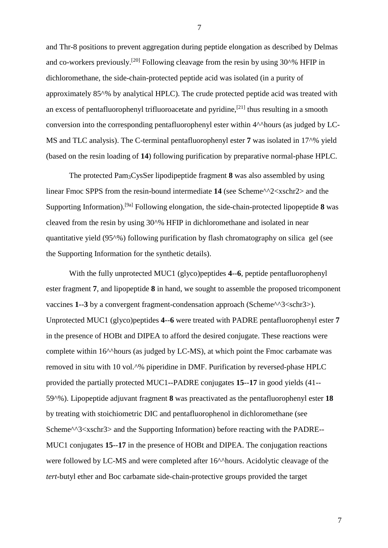and Thr-8 positions to prevent aggregation during peptide elongation as described by Delmas and co-workers previously.<sup>[20]</sup> Following cleavage from the resin by using  $30^{\circ}\%$  HFIP in dichloromethane, the side-chain-protected peptide acid was isolated (in a purity of approximately 85^% by analytical HPLC). The crude protected peptide acid was treated with an excess of pentafluorophenyl trifluoroacetate and pyridine,<sup>[21]</sup> thus resulting in a smooth conversion into the corresponding pentafluorophenyl ester within 4^^hours (as judged by LC-MS and TLC analysis). The C-terminal pentafluorophenyl ester **7** was isolated in 17^% yield (based on the resin loading of **14**) following purification by preparative normal-phase HPLC.

The protected Pam3CysSer lipodipeptide fragment **8** was also assembled by using linear Fmoc SPPS from the resin-bound intermediate **14** (see Scheme^^2<xschr2> and the Supporting Information).[9a] Following elongation, the side-chain-protected lipopeptide **8** was cleaved from the resin by using 30^% HFIP in dichloromethane and isolated in near quantitative yield (95^%) following purification by flash chromatography on silica gel (see the Supporting Information for the synthetic details).

With the fully unprotected MUC1 (glyco)peptides **4**--**6**, peptide pentafluorophenyl ester fragment **7**, and lipopeptide **8** in hand, we sought to assemble the proposed tricomponent vaccines **1--3** by a convergent fragment-condensation approach (Scheme<sup> $\land \land$ 3<schr3>).</sup> Unprotected MUC1 (glyco)peptides **4**--**6** were treated with PADRE pentafluorophenyl ester **7** in the presence of HOBt and DIPEA to afford the desired conjugate. These reactions were complete within 16^^hours (as judged by LC-MS), at which point the Fmoc carbamate was removed in situ with 10 vol.^% piperidine in DMF. Purification by reversed-phase HPLC provided the partially protected MUC1--PADRE conjugates **15**--**17** in good yields (41-- 59^%). Lipopeptide adjuvant fragment **8** was preactivated as the pentafluorophenyl ester **18** by treating with stoichiometric DIC and pentafluorophenol in dichloromethane (see Scheme^^3<xschr3> and the Supporting Information) before reacting with the PADRE-- MUC1 conjugates **15**--**17** in the presence of HOBt and DIPEA. The conjugation reactions were followed by LC-MS and were completed after 16<sup>^^</sup>hours. Acidolytic cleavage of the *tert*-butyl ether and Boc carbamate side-chain-protective groups provided the target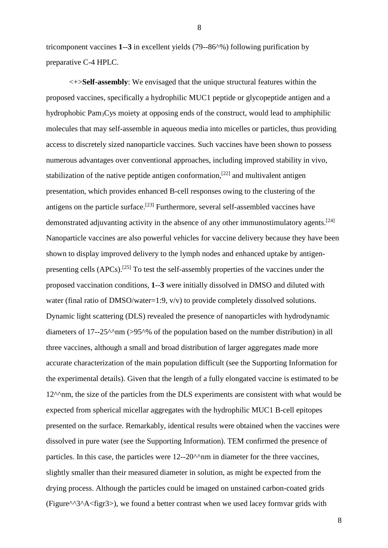tricomponent vaccines **1**--**3** in excellent yields (79--86^%) following purification by preparative C-4 HPLC.

<+>**Self-assembly**: We envisaged that the unique structural features within the proposed vaccines, specifically a hydrophilic MUC1 peptide or glycopeptide antigen and a hydrophobic Pam3Cys moiety at opposing ends of the construct, would lead to amphiphilic molecules that may self-assemble in aqueous media into micelles or particles, thus providing access to discretely sized nanoparticle vaccines. Such vaccines have been shown to possess numerous advantages over conventional approaches, including improved stability in vivo, stabilization of the native peptide antigen conformation,<sup>[22]</sup> and multivalent antigen presentation, which provides enhanced B-cell responses owing to the clustering of the antigens on the particle surface.[23] Furthermore, several self-assembled vaccines have demonstrated adjuvanting activity in the absence of any other immunostimulatory agents.<sup>[24]</sup> Nanoparticle vaccines are also powerful vehicles for vaccine delivery because they have been shown to display improved delivery to the lymph nodes and enhanced uptake by antigenpresenting cells (APCs).[25] To test the self-assembly properties of the vaccines under the proposed vaccination conditions, **1**--**3** were initially dissolved in DMSO and diluted with water (final ratio of DMSO/water=1:9, v/v) to provide completely dissolved solutions. Dynamic light scattering (DLS) revealed the presence of nanoparticles with hydrodynamic diameters of 17--25^^nm ( $>95^{\circ}\%$  of the population based on the number distribution) in all three vaccines, although a small and broad distribution of larger aggregates made more accurate characterization of the main population difficult (see the Supporting Information for the experimental details). Given that the length of a fully elongated vaccine is estimated to be  $12^{\text{A}}$ <sup>n</sup>m, the size of the particles from the DLS experiments are consistent with what would be expected from spherical micellar aggregates with the hydrophilic MUC1 B-cell epitopes presented on the surface. Remarkably, identical results were obtained when the vaccines were dissolved in pure water (see the Supporting Information). TEM confirmed the presence of particles. In this case, the particles were 12--20^^nm in diameter for the three vaccines, slightly smaller than their measured diameter in solution, as might be expected from the drying process. Although the particles could be imaged on unstained carbon-coated grids (Figure $\wedge$ 3 $\wedge$ A<figr3>), we found a better contrast when we used lacey formvar grids with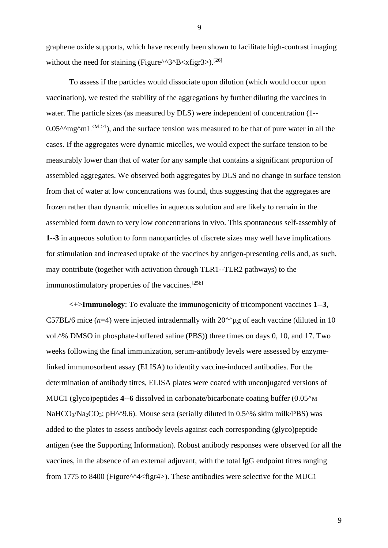graphene oxide supports, which have recently been shown to facilitate high-contrast imaging without the need for staining (Figure $\lambda$ <sup>3</sup> $\rightarrow$ B $\lt$ xfigr3 $>$ ).<sup>[26]</sup>

To assess if the particles would dissociate upon dilution (which would occur upon vaccination), we tested the stability of the aggregations by further diluting the vaccines in water. The particle sizes (as measured by DLS) were independent of concentration (1--  $0.05^{\text{A}}$ mg $^{\text{A}}$ mL $^{\text{A}-1}$ ), and the surface tension was measured to be that of pure water in all the cases. If the aggregates were dynamic micelles, we would expect the surface tension to be measurably lower than that of water for any sample that contains a significant proportion of assembled aggregates. We observed both aggregates by DLS and no change in surface tension from that of water at low concentrations was found, thus suggesting that the aggregates are frozen rather than dynamic micelles in aqueous solution and are likely to remain in the assembled form down to very low concentrations in vivo. This spontaneous self-assembly of **1**--**3** in aqueous solution to form nanoparticles of discrete sizes may well have implications for stimulation and increased uptake of the vaccines by antigen-presenting cells and, as such, may contribute (together with activation through TLR1--TLR2 pathways) to the immunostimulatory properties of the vaccines.<sup>[25b]</sup>

<+>**Immunology**: To evaluate the immunogenicity of tricomponent vaccines **1**--**3**, C57BL/6 mice  $(n=4)$  were injected intradermally with  $20^{\text{A}}$ ug of each vaccine (diluted in 10) vol.^% DMSO in phosphate-buffered saline (PBS)) three times on days 0, 10, and 17. Two weeks following the final immunization, serum-antibody levels were assessed by enzymelinked immunosorbent assay (ELISA) to identify vaccine-induced antibodies. For the determination of antibody titres, ELISA plates were coated with unconjugated versions of MUC1 (glyco)peptides **4**--**6** dissolved in carbonate/bicarbonate coating buffer (0.05^M NaHCO<sub>3</sub>/Na<sub>2</sub>CO<sub>3</sub>; pH^^9.6). Mouse sera (serially diluted in 0.5^% skim milk/PBS) was added to the plates to assess antibody levels against each corresponding (glyco)peptide antigen (see the Supporting Information). Robust antibody responses were observed for all the vaccines, in the absence of an external adjuvant, with the total IgG endpoint titres ranging from 1775 to 8400 (Figure^^4<figr4>). These antibodies were selective for the MUC1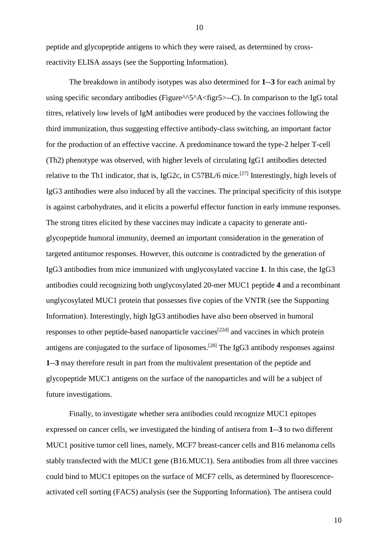peptide and glycopeptide antigens to which they were raised, as determined by crossreactivity ELISA assays (see the Supporting Information).

The breakdown in antibody isotypes was also determined for **1**--**3** for each animal by using specific secondary antibodies (Figure^^5^A<figr5>--C). In comparison to the IgG total titres, relatively low levels of IgM antibodies were produced by the vaccines following the third immunization, thus suggesting effective antibody-class switching, an important factor for the production of an effective vaccine. A predominance toward the type-2 helper T-cell (Th2) phenotype was observed, with higher levels of circulating IgG1 antibodies detected relative to the Th1 indicator, that is, IgG2c, in C57BL/6 mice.<sup>[27]</sup> Interestingly, high levels of IgG3 antibodies were also induced by all the vaccines. The principal specificity of this isotype is against carbohydrates, and it elicits a powerful effector function in early immune responses. The strong titres elicited by these vaccines may indicate a capacity to generate antiglycopeptide humoral immunity, deemed an important consideration in the generation of targeted antitumor responses. However, this outcome is contradicted by the generation of IgG3 antibodies from mice immunized with unglycosylated vaccine **1**. In this case, the IgG3 antibodies could recognizing both unglycosylated 20-mer MUC1 peptide **4** and a recombinant unglycosylated MUC1 protein that possesses five copies of the VNTR (see the Supporting Information). Interestingly, high IgG3 antibodies have also been observed in humoral responses to other peptide-based nanoparticle vaccines<sup>[22d]</sup> and vaccines in which protein antigens are conjugated to the surface of liposomes.[28] The IgG3 antibody responses against **1**--**3** may therefore result in part from the multivalent presentation of the peptide and glycopeptide MUC1 antigens on the surface of the nanoparticles and will be a subject of future investigations.

Finally, to investigate whether sera antibodies could recognize MUC1 epitopes expressed on cancer cells, we investigated the binding of antisera from **1**--**3** to two different MUC1 positive tumor cell lines, namely, MCF7 breast-cancer cells and B16 melanoma cells stably transfected with the MUC1 gene (B16.MUC1). Sera antibodies from all three vaccines could bind to MUC1 epitopes on the surface of MCF7 cells, as determined by fluorescenceactivated cell sorting (FACS) analysis (see the Supporting Information). The antisera could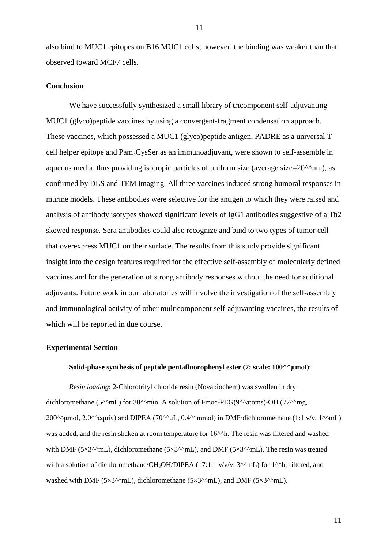also bind to MUC1 epitopes on B16.MUC1 cells; however, the binding was weaker than that observed toward MCF7 cells.

#### **Conclusion**

We have successfully synthesized a small library of tricomponent self-adjuvanting MUC1 (glyco)peptide vaccines by using a convergent-fragment condensation approach. These vaccines, which possessed a MUC1 (glyco)peptide antigen, PADRE as a universal Tcell helper epitope and Pam3CysSer as an immunoadjuvant, were shown to self-assemble in aqueous media, thus providing isotropic particles of uniform size (average size= $20^{\text{A}}$ mm), as confirmed by DLS and TEM imaging. All three vaccines induced strong humoral responses in murine models. These antibodies were selective for the antigen to which they were raised and analysis of antibody isotypes showed significant levels of IgG1 antibodies suggestive of a Th2 skewed response. Sera antibodies could also recognize and bind to two types of tumor cell that overexpress MUC1 on their surface. The results from this study provide significant insight into the design features required for the effective self-assembly of molecularly defined vaccines and for the generation of strong antibody responses without the need for additional adjuvants. Future work in our laboratories will involve the investigation of the self-assembly and immunological activity of other multicomponent self-adjuvanting vaccines, the results of which will be reported in due course.

#### **Experimental Section**

#### **Solid-phase synthesis of peptide pentafluorophenyl ester (7; scale: 100^^μmol)**:

*Resin loading*: 2-Chlorotrityl chloride resin (Novabiochem) was swollen in dry dichloromethane (5^^mL) for 30^^min. A solution of Fmoc-PEG(9^^atoms)-OH (77^^mg, 200^^umol, 2.0^^equiv) and DIPEA (70^^uL, 0.4^^mmol) in DMF/dichloromethane (1:1 v/v, 1^^mL) was added, and the resin shaken at room temperature for 16<sup> $\wedge$ ^</sup>h. The resin was filtered and washed with DMF ( $5\times3^{\text{A}}$ mL), dichloromethane ( $5\times3^{\text{A}}$ mL), and DMF ( $5\times3^{\text{A}}$ mL). The resin was treated with a solution of dichloromethane/CH<sub>3</sub>OH/DIPEA (17:1:1 v/v/v,  $3^{\text{A}}$ mL) for 1<sup> $\text{A}$ h, filtered, and</sup> washed with DMF ( $5\times3^{\text{A}}$ mL), dichloromethane ( $5\times3^{\text{A}}$ mL), and DMF ( $5\times3^{\text{A}}$ mL).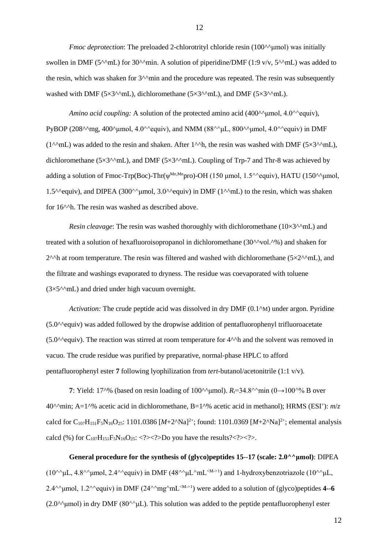*Fmoc deprotection*: The preloaded 2-chlorotrityl chloride resin (100^^μmol) was initially swollen in DMF (5^^mL) for 30^^min. A solution of piperidine/DMF (1:9 v/v, 5^^mL) was added to the resin, which was shaken for  $3^{\wedge}$ min and the procedure was repeated. The resin was subsequently washed with DMF ( $5\times3^{\text{A}}$ mL), dichloromethane ( $5\times3^{\text{A}}$ mL), and DMF ( $5\times3^{\text{A}}$ mL).

*Amino acid coupling:* A solution of the protected amino acid (400^^μmol, 4.0^^equiv), PyBOP (208^^mg, 400^µmol, 4.0^^equiv), and NMM (88^^µL, 800^^µmol, 4.0^^equiv) in DMF  $(1^{\text{A}}\text{mL})$  was added to the resin and shaken. After 1^^h, the resin was washed with DMF (5×3^^mL), dichloromethane ( $5\times3^{\text{A}}$ mL), and DMF ( $5\times3^{\text{A}}$ mL). Coupling of Trp-7 and Thr-8 was achieved by adding a solution of Fmoc-Trp(Boc)-Thr( $\psi^{\text{Me},\text{Me}}$ pro)-OH (150 µmol, 1.5^^equiv), HATU (150^^µmol, 1.5^^equiv), and DIPEA (300^^umol, 3.0^^equiv) in DMF (1^^mL) to the resin, which was shaken for 16^^h. The resin was washed as described above.

*Resin cleavage*: The resin was washed thoroughly with dichloromethane (10×3^^mL) and treated with a solution of hexafluoroisopropanol in dichloromethane (30^^vol.^%) and shaken for  $2^{\wedge}$ h at room temperature. The resin was filtered and washed with dichloromethane (5×2 $^{\wedge}$ mL), and the filtrate and washings evaporated to dryness. The residue was coevaporated with toluene  $(3\times5^{\text{A}}\text{mL})$  and dried under high vacuum overnight.

*Activation:* The crude peptide acid was dissolved in dry DMF (0.1<sup></sup>M) under argon. Pyridine  $(5.0^{\text{A}}$ equiv) was added followed by the dropwise addition of pentafluorophenyl trifluoroacetate  $(5.0^{\text{A}}\text{equiv})$ . The reaction was stirred at room temperature for  $4^{\text{A}}\text{h}$  and the solvent was removed in vacuo. The crude residue was purified by preparative, normal-phase HPLC to afford pentafluorophenyl ester **7** following lyophilization from *tert*-butanol/acetonitrile (1:1 v/v).

**7**: Yield: 17^% (based on resin loading of 100^^umol).  $R = 34.8$ ^^min (0→100^% B over 40^^min; A=1^% acetic acid in dichloromethane, B=1^% acetic acid in methanol); HRMS (ESI+): *m*/*z* calcd for  $C_{107}H_{151}F_5N_{16}O_{25}$ : 1101.0386  $[M+2^NNa]^{2+}$ ; found: 1101.0369  $[M+2^NNa]^{2+}$ ; elemental analysis calcd (%) for  $C_{107}H_{151}F_5N_{16}O_{25}:$  <?><?>Do you have the results?<?><?>.

**General procedure for the synthesis of (glyco)peptides 15**--**17 (scale: 2.0^^μmol)**: DIPEA ( $10^{\text{AA}}$ μL,  $4.8^{\text{AA}}$ μmol,  $2.4^{\text{AA}}$ equiv) in DMF ( $48^{\text{AA}}$ μL $\text{A}$ mL<sup><M->1</sup>) and 1-hydroxybenzotriazole ( $10^{\text{AA}}$ μL, 2.4^^umol, 1.2^^equiv) in DMF (24^^mg^mL<sup><M->1</sup>) were added to a solution of (glyco)peptides 4--6 (2.0^^ $\mu$ mol) in dry DMF (80^^ $\mu$ L). This solution was added to the peptide pentafluorophenyl ester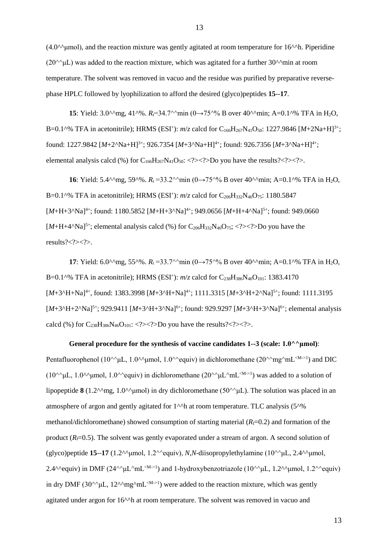$(4.0^{\text{A}}/m$ umol), and the reaction mixture was gently agitated at room temperature for 16<sup> $\land\land$ h. Piperidine</sup>  $(20^{\text{A}}/μL)$  was added to the reaction mixture, which was agitated for a further 30<sup> $\text{A}}$ min at room</sup> temperature. The solvent was removed in vacuo and the residue was purified by preparative reversephase HPLC followed by lyophilization to afford the desired (glyco)peptides **15**--**17**.

**15**: Yield:  $3.0^{\circ}$  mg,  $41^{\circ}\%$ .  $R_1 = 34.7^{\circ}$  min (0→75<sup> $\circ\%$ </sup> B over  $40^{\circ}$  min; A=0.1^% TFA in H<sub>2</sub>O, B=0.1^% TFA in acetonitrile); HRMS (ESI<sup>+</sup>):  $m/z$  calcd for C<sub>166</sub>H<sub>267</sub>N<sub>41</sub>O<sub>50</sub>: 1227.9846 [*M*+2Na+H]<sup>3+</sup>; found: 1227.9842 [*M*+2^Na+H]3+; 926.7354 [*M*+3^Na+H]4+; found: 926.7356 [*M*+3^Na+H]4+; elemental analysis calcd (%) for  $C_{166}H_{267}N_{41}O_{50}$ : <?><?>Do you have the results?<?><?>.

**16**: Yield: 5.4^^mg, 59^%.  $R_t = 33.2$ ^^min (0→75^% B over 40^^min; A=0.1^% TFA in H<sub>2</sub>O, B=0.1^% TFA in acetonitrile); HRMS (ESI<sup>+</sup>):  $m/z$  calcd for C<sub>206</sub>H<sub>332</sub>N<sub>46</sub>O<sub>75</sub>: 1180.5847 [*M*+H+3^Na]<sup>4+</sup>; found: 1180.5852 [*M*+H+3^Na]<sup>4+</sup>; 949.0656 [*M*+H+4^Na]<sup>5+</sup>; found: 949.0660  $[M+H+4^NNa]^{5+}$ ; elemental analysis calcd (%) for  $C_{206}H_{332}N_{46}O_{75}$ ; <?><?>Do you have the results? $\langle$  :  $\rangle$   $\langle$  :  $\rangle$   $\langle$   $\rangle$   $\langle$   $\rangle$   $\langle$   $\rangle$   $\langle$   $\rangle$   $\langle$   $\rangle$   $\langle$   $\rangle$   $\langle$   $\rangle$   $\langle$   $\rangle$   $\langle$   $\rangle$   $\langle$   $\rangle$   $\langle$   $\rangle$   $\langle$   $\rangle$   $\langle$   $\rangle$   $\langle$   $\rangle$   $\langle$   $\rangle$   $\langle$   $\rangle$   $\langle$   $\rangle$   $\langle$   $\rangle$   $\langle$   $\rangle$ 

**17**: Yield:  $6.0^{\text{A/m}}$ g, 55^%.  $R_t$  =33.7^^min ( $0 \rightarrow 75^{\text{A/m}}$  B over 40^^min; A=0.1^% TFA in H<sub>2</sub>O, B=0.1^% TFA in acetonitrile); HRMS (ESI<sup>+</sup>):  $m/z$  calcd for C<sub>238</sub>H<sub>386</sub>N<sub>46</sub>O<sub>101</sub>: 1383.4170 [ $M+3$ <sup>A</sup>H+Na]<sup>4+</sup>, found: 1383.3998 [ $M+3$ <sup>A</sup>H+Na]<sup>4+</sup>; 1111.3315 [ $M+3$ <sup>A</sup>H+2<sup>A</sup>Na]<sup>5+</sup>; found: 1111.3195  $[M+3^NH+2^NNa]^{5+}$ ; 929.9411  $[M+3^NH+3^NNa]^{6+}$ ; found: 929.9297  $[M+3^NH+3^NNa]^{6+}$ ; elemental analysis calcd (%) for  $C_{238}H_{386}N_{46}O_{101}$ : <?><?>Do you have the results?<?><?>.

**General procedure for the synthesis of vaccine candidates 1--3 (scale: 1.0^^μmol)**: Pentafluorophenol (10^^μL, 1.0^^μmol, 1.0^^equiv) in dichloromethane (20^^mg^mL<sup><M->1</sup>) and DIC (10^^uL, 1.0^^umol, 1.0^^equiv) in dichloromethane (20^^uL^mL<sup><M->1</sup>) was added to a solution of lipopeptide **8** (1.2^^mg, 1.0^^umol) in dry dichloromethane (50^^uL). The solution was placed in an atmosphere of argon and gently agitated for  $1^{\wedge}\hbar$  at room temperature. TLC analysis (5 $^{\wedge}\%$ ) methanol/dichloromethane) showed consumption of starting material  $(R_f=0.2)$  and formation of the product  $(R_f=0.5)$ . The solvent was gently evaporated under a stream of argon. A second solution of (glyco)peptide **15**--**17** (1.2^^umol, 1.2^^equiv), *N,N*-diisopropylethylamine (10^^uL, 2.4^^umol, 2.4^^equiv) in DMF (24^^ $\mu$ L^mL<sup><M->1</sup>) and 1-hydroxybenzotriazole (10^^ $\mu$ L, 1.2^^ $\mu$ mol, 1.2^^equiv) in dry DMF (30^^uL, 12^^mg^mL<sup><M->1</sup>) were added to the reaction mixture, which was gently agitated under argon for 16<sup> $\wedge\wedge$ </sup>h at room temperature. The solvent was removed in vacuo and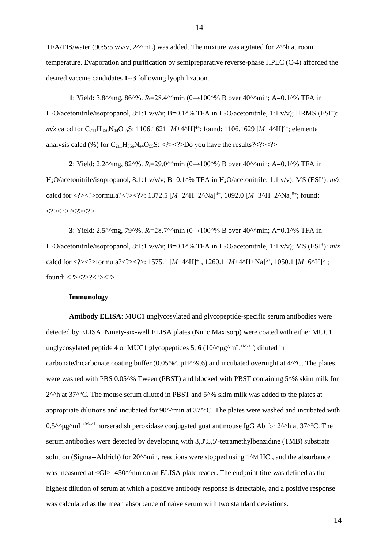TFA/TIS/water (90:5:5  $v/v/v$ , 2^^mL) was added. The mixture was agitated for 2^^h at room temperature. Evaporation and purification by semipreparative reverse-phase HPLC (C-4) afforded the desired vaccine candidates **1**--**3** following lyophilization.

**1**: Yield: 3.8^^mg, 86^%. *R*<sub>t</sub>=28.4^^min (0→100^% B over 40^^min; A=0.1^% TFA in H<sub>2</sub>O/acetonitrile/isopropanol, 8:1:1 v/v/v; B=0.1^% TFA in H<sub>2</sub>O/acetonitrile, 1:1 v/v); HRMS (ESI<sup>+</sup>): *m/z* calcd for C<sub>211</sub>H<sub>356</sub>N<sub>44</sub>O<sub>55</sub>S: 1106.1621 [*M*+4^H]<sup>4+</sup>; found: 1106.1629 [*M*+4^H]<sup>4+</sup>; elemental analysis calcd (%) for  $C_{211}H_{356}N_{44}O_{55}S$ : <?><?>Do you have the results?<?><?>

**2**: Yield: 2.2^^mg, 82^%. *R*<sub>t</sub>=29.0^^min (0→100^% B over 40^^min; A=0.1^% TFA in H<sub>2</sub>O/acetonitrile/isopropanol, 8:1:1 v/v/v; B=0.1^% TFA in H<sub>2</sub>O/acetonitrile, 1:1 v/v); MS (ESI<sup>+</sup>): *m/z* calcd for <?><?>formula?<?><?>: 1372.5  $[M+2^{\wedge}H+2^{\wedge}Na]^{4+}$ , 1092.0  $[M+3^{\wedge}H+2^{\wedge}Na]^{5+}$ ; found:  $<$ ?> $<$ ?>? $<$ ?> $<$ ?> $<$ ?>.

**3**: Yield: 2.5^^mg, 79^%. *R*<sub>t</sub>=28.7^^min (0→100^% B over 40^^min; A=0.1^% TFA in H<sub>2</sub>O/acetonitrile/isopropanol, 8:1:1 v/v/v; B=0.1^% TFA in H<sub>2</sub>O/acetonitrile, 1:1 v/v); MS (ESI<sup>+</sup>): *m/z* calcd for <?><?>formula?<?><?>: 1575.1  $[M+4~H]+1260.1~[M+4~H+Na]^{5+}$ , 1050.1  $[M+6~H]^{6+}$ ; found: <?><?><?>?>.

## **Immunology**

**Antibody ELISA**: MUC1 unglycosylated and glycopeptide-specific serum antibodies were detected by ELISA. Ninety-six-well ELISA plates (Nunc Maxisorp) were coated with either MUC1 unglycosylated peptide **4** or MUC1 glycopeptides **5**,  $6(10^{A} \mu g^{A}mL^{M-1})$  diluted in carbonate/bicarbonate coating buffer (0.05 $\textdegree M$ , pH $\textdegree N9.6$ ) and incubated overnight at  $4\textdegree C$ . The plates were washed with PBS 0.05^% Tween (PBST) and blocked with PBST containing 5^% skim milk for  $2^{\wedge\wedge}$ h at 37 $^{\wedge}$ °C. The mouse serum diluted in PBST and 5 $^{\wedge}$ % skim milk was added to the plates at appropriate dilutions and incubated for  $90^{\text{A}}$ min at  $37^{\text{A}}$ °C. The plates were washed and incubated with  $0.5^{\text{A}}$ ug $^{\text{A}}$ mL<sup><M->1</sup> horseradish peroxidase conjugated goat antimouse IgG Ab for 2<sup>^^</sup>h at 37<sup>^°</sup>C. The serum antibodies were detected by developing with 3,3',5,5'-tetramethylbenzidine (TMB) substrate solution (Sigma--Aldrich) for  $20^{\circ}$ min, reactions were stopped using  $1^{\circ}$ M HCl, and the absorbance was measured at <Gl>=450^^nm on an ELISA plate reader. The endpoint titre was defined as the highest dilution of serum at which a positive antibody response is detectable, and a positive response was calculated as the mean absorbance of naïve serum with two standard deviations.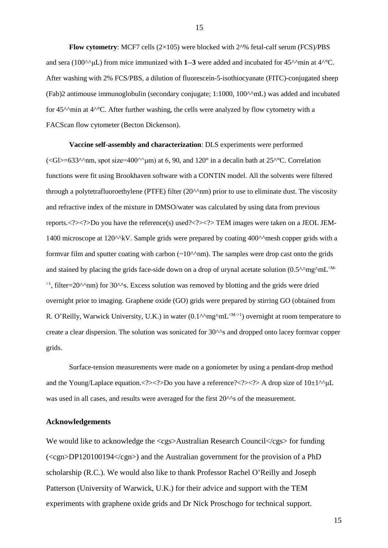**Flow cytometry**: MCF7 cells (2×105) were blocked with 2^% fetal-calf serum (FCS)/PBS and sera (100^^uL) from mice immunized with **1--3** were added and incubated for  $45^{\wedge}$ min at  $4^{\wedge}$ °C. After washing with 2% FCS/PBS, a dilution of fluorescein-5-isothiocyanate (FITC)-conjugated sheep (Fab)2 antimouse immunoglobulin (secondary conjugate; 1:1000, 100^^mL) was added and incubated for  $45^{\text{A}}$ min at  $4^{\text{A}}$ °C. After further washing, the cells were analyzed by flow cytometry with a FACScan flow cytometer (Becton Dickenson).

**Vaccine self-assembly and characterization**: DLS experiments were performed ( $\langle$ Gl>=633^^nm, spot size=400^^µm) at 6, 90, and 120° in a decalin bath at 25^°C. Correlation functions were fit using Brookhaven software with a CONTIN model. All the solvents were filtered through a polytetrafluoroethylene (PTFE) filter  $(20^{\text{A}}/nm)$  prior to use to eliminate dust. The viscosity and refractive index of the mixture in DMSO/water was calculated by using data from previous reports.<?><?>Do you have the reference(s) used?<?><?>TEM images were taken on a JEOL JEM-1400 microscope at 120 $\alpha$ kV. Sample grids were prepared by coating 400 $\alpha$ mesh copper grids with a formvar film and sputter coating with carbon  $(\sim 10^{10}$ mm). The samples were drop cast onto the grids and stained by placing the grids face-side down on a drop of urynal acetate solution  $(0.5^{\text{A}}\text{m}g\text{m}L\text{m}m)$  $>1$ , filter=20^^nm) for 30^^s. Excess solution was removed by blotting and the grids were dried overnight prior to imaging. Graphene oxide (GO) grids were prepared by stirring GO (obtained from R. O'Reilly, Warwick University, U.K.) in water  $(0.1^{\text{A}} \text{mg}^{\text{A}} \text{m} \text{m}^{\text{A}} \text{m}^{\text{B}})$  overnight at room temperature to create a clear dispersion. The solution was sonicated for 30<sup> $\wedge\wedge$ </sup>s and dropped onto lacey formvar copper grids.

Surface-tension measurements were made on a goniometer by using a pendant-drop method and the Young/Laplace equation.<?><?>Do you have a reference?<?><?>A drop size of  $10\pm1^{\circ}$   $\mu$ L was used in all cases, and results were averaged for the first 20<sup> $\wedge\wedge$ </sup>s of the measurement.

#### **Acknowledgements**

We would like to acknowledge the <cgs>Australian Research Council</cgs> for funding (<cgn>DP120100194</cgn>) and the Australian government for the provision of a PhD scholarship (R.C.). We would also like to thank Professor Rachel O'Reilly and Joseph Patterson (University of Warwick, U.K.) for their advice and support with the TEM experiments with graphene oxide grids and Dr Nick Proschogo for technical support.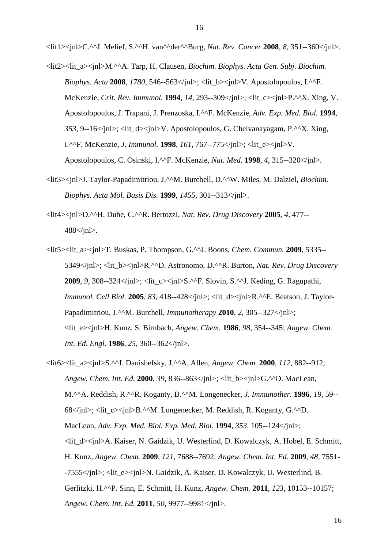<lit1><jnl>C.^^J. Melief, S.^^H. van^^der^^Burg, *Nat. Rev. Cancer* **2008**, *8*, 351--360</jnl>.

- <lit2><lit\_a><jnl>M.^^A. Tarp, H. Clausen, *Biochim. Biophys. Acta Gen. Subj. Biochim. Biophys. Acta* **2008**, *1780*, 546--563</jnl>; <lit\_b><jnl>V. Apostolopoulos, I.^^F. McKenzie, *Crit. Rev. Immunol.* **1994**, *14*, 293--309</jnl>; <lit\_c><jnl>P.^^X. Xing, V. Apostolopoulos, J. Trapani, J. Prenzoska, I.^^F. McKenzie, *Adv. Exp. Med. Biol.* **1994**, *353*, 9--16</jnl>; <lit\_d><jnl>V. Apostolopoulos, G. Chelvanayagam, P.^^X. Xing, I.^^F. McKenzie, *J. Immunol.* **1998**, *161*, 767--775</jnl>; <lit\_e><jnl>V. Apostolopoulos, C. Osinski, I.^^F. McKenzie, *Nat. Med.* **1998**, *4*, 315--320</jnl>.
- <lit3><jnl>J. Taylor-Papadimitriou, J.^^M. Burchell, D.^^W. Miles, M. Dalziel, *Biochim. Biophys. Acta Mol. Basis Dis.* **1999**, *1455*, 301--313</jnl>.
- <lit4><jnl>D.^^H. Dube, C.^^R. Bertozzi, *Nat. Rev. Drug Discovery* **2005**, *4*, 477--  $488 <$ /jnl>.
- <lit5><lit\_a><jnl>T. Buskas, P. Thompson, G.^^J. Boons, *Chem. Commun.* **2009**, 5335-- 5349</jnl>; <lit\_b><jnl>R.^^D. Astronomo, D.^^R. Burton, *Nat. Rev. Drug Discovery*  **2009**, *9*, 308--324</jnl>; <lit\_c><jnl>S.^^F. Slovin, S.^^J. Keding, G. Ragupathi, *Immunol. Cell Biol.* **2005**, *83*, 418--428</jnl>; <lit\_d><jnl>R.^^E. Beatson, J. Taylor-Papadimitriou, J.^^M. Burchell, *Immunotherapy* **2010**, *2*, 305--327</jnl>; <lit\_e><jnl>H. Kunz, S. Birnbach, *Angew. Chem.* **1986**, *98*, 354--345; *Angew. Chem. Int. Ed. Engl.* **1986**, *25*, 360--362</jnl>.
- <lit6><lit\_a><jnl>S.^^J. Danishefsky, J.^^A. Allen, *Angew. Chem.* **2000**, *112*, 882--912; *Angew. Chem. Int. Ed.* **2000**, *39*, 836--863</jnl>; <lit\_b><jnl>G.^^D. MacLean, M.^^A. Reddish, R.^^R. Koganty, B.^^M. Longenecker, *J. Immunother.* **1996**, *19*, 59-- 68</jnl>; <lit\_c><jnl>B.^^M. Longenecker, M. Reddish, R. Koganty, G.^^D. MacLean, *Adv. Exp. Med. Biol. Exp. Med. Biol.* **1994**, *353*, 105--124</jnl>; <lit\_d><jnl>A. Kaiser, N. Gaidzik, U. Westerlind, D. Kowalczyk, A. Hobel, E. Schmitt, H. Kunz, *Angew. Chem.* **2009**, *121*, 7688--7692; *Angew. Chem. Int. Ed.* **2009**, *48*, 7551- -7555</jnl>; <lit\_e><jnl>N. Gaidzik, A. Kaiser, D. Kowalczyk, U. Westerlind, B. Gerlitzki, H.^^P. Sinn, E. Schmitt, H. Kunz, *Angew. Chem.* **2011**, *123*, 10153--10157; *Angew. Chem. Int. Ed.* **2011**, *50*, 9977--9981</jnl>.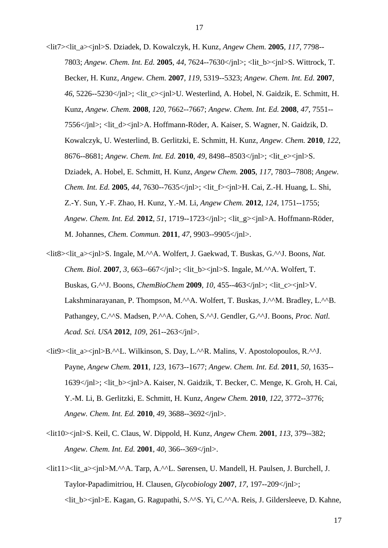- <lit7><lit\_a><jnl>S. Dziadek, D. Kowalczyk, H. Kunz, *Angew Chem.* **2005**, *117*, 7798-- 7803; *Angew. Chem. Int. Ed.* **2005**, *44*, 7624--7630</jnl>; <lit\_b><jnl>S. Wittrock, T. Becker, H. Kunz, *Angew. Chem.* **2007**, *119*, 5319--5323; *Angew. Chem. Int. Ed.* **2007**, *46*, 5226--5230</jnl>; <lit\_c><jnl>U. Westerlind, A. Hobel, N. Gaidzik, E. Schmitt, H. Kunz, *Angew. Chem.* **2008**, *120*, 7662--7667; *Angew. Chem. Int. Ed.* **2008**, *47*, 7551-- 7556</jnl>; <lit\_d><jnl>A. Hoffmann-Röder, A. Kaiser, S. Wagner, N. Gaidzik, D. Kowalczyk, U. Westerlind, B. Gerlitzki, E. Schmitt, H. Kunz, *Angew. Chem.* **2010**, *122*, 8676--8681; *Angew. Chem. Int. Ed.* **2010**, *49*, 8498--8503</jnl>; <lit\_e><jnl>S. Dziadek, A. Hobel, E. Schmitt, H. Kunz, *Angew Chem.* **2005**, *117*, 7803--7808; *Angew. Chem. Int. Ed.* **2005**, *44*, 7630--7635</jnl>; <lit\_f><jnl>H. Cai, Z.-H. Huang, L. Shi, Z.-Y. Sun, Y.-F. Zhao, H. Kunz, Y.-M. Li, *Angew Chem.* **2012**, *124*, 1751--1755; *Angew. Chem. Int. Ed.* **2012**, *51*, 1719--1723</jnl>; <lit\_g><jnl>A. Hoffmann-Röder, M. Johannes, *Chem. Commun.* **2011**, *47*, 9903--9905</jnl>.
- <lit8><lit\_a><jnl>S. Ingale, M.^^A. Wolfert, J. Gaekwad, T. Buskas, G.^^J. Boons, *Nat. Chem. Biol.* **2007**, *3*, 663--667</jnl>; <lit\_b><jnl>S. Ingale, M.^^A. Wolfert, T. Buskas, G.^^J. Boons, *ChemBioChem* **2009**, *10*, 455--463</jnl>; <lit\_c><jnl>V. Lakshminarayanan, P. Thompson, M.^^A. Wolfert, T. Buskas, J.^^M. Bradley, L.^^B. Pathangey, C.^^S. Madsen, P.^^A. Cohen, S.^^J. Gendler, G.^^J. Boons, *Proc. Natl. Acad. Sci. USA* **2012**, *109*, 261--263</jnl>.
- $\langle \text{lit9}\rangle$  $\langle \text{lit 1}\rangle$  $\langle \text{In1}\rangle$ B.^^L. Wilkinson, S. Day, L.^^R. Malins, V. Apostolopoulos, R.^^J. Payne, *Angew Chem.* **2011**, *123*, 1673--1677; *Angew. Chem. Int. Ed.* **2011**, *50*, 1635-- 1639</jnl>; <lit\_b><jnl>A. Kaiser, N. Gaidzik, T. Becker, C. Menge, K. Groh, H. Cai, Y.-M. Li, B. Gerlitzki, E. Schmitt, H. Kunz, *Angew Chem.* **2010**, *122*, 3772--3776; *Angew. Chem. Int. Ed.* **2010**, *49*, 3688--3692</jnl>.
- <lit10><jnl>S. Keil, C. Claus, W. Dippold, H. Kunz, *Angew Chem.* **2001**, *113*, 379--382; *Angew. Chem. Int. Ed.* **2001**, *40*, 366--369</jnl>.
- <lit11><lit\_a><jnl>M.^^A. Tarp, A.^^L. Sørensen, U. Mandell, H. Paulsen, J. Burchell, J. Taylor-Papadimitriou, H. Clausen, *Glycobiology* **2007**, *17*, 197--209</jnl>; <lit\_b><jnl>E. Kagan, G. Ragupathi, S.^^S. Yi, C.^^A. Reis, J. Gildersleeve, D. Kahne,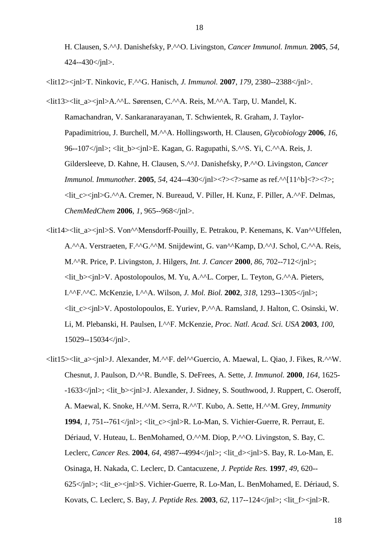H. Clausen, S.^^J. Danishefsky, P.^^O. Livingston, *Cancer Immunol. Immun.* **2005**, *54*,  $424 - 430 \le \text{inl}$ .

- <lit12><jnl>T. Ninkovic, F.^^G. Hanisch, *J. Immunol.* **2007**, *179*, 2380--2388</jnl>.
- <lit13><lit\_a><jnl>A.^^L. Sørensen, C.^^A. Reis, M.^^A. Tarp, U. Mandel, K. Ramachandran, V. Sankaranarayanan, T. Schwientek, R. Graham, J. Taylor-Papadimitriou, J. Burchell, M.^^A. Hollingsworth, H. Clausen, *Glycobiology* **2006**, *16*, 96--107</jnl>; <lit\_b><jnl>E. Kagan, G. Ragupathi, S.^^S. Yi, C.^^A. Reis, J. Gildersleeve, D. Kahne, H. Clausen, S.^^J. Danishefsky, P.^^O. Livingston, *Cancer Immunol. Immunother.* **2005**, *54*, 424--430</jnl><?><?>same as ref.^^[11^b]<?><?>; <lit\_c><jnl>G.^^A. Cremer, N. Bureaud, V. Piller, H. Kunz, F. Piller, A.^^F. Delmas, *ChemMedChem* **2006**, *1*, 965--968</jnl>.
- <lit14><lit\_a><jnl>S. Von^^Mensdorff-Pouilly, E. Petrakou, P. Kenemans, K. Van^^Uffelen, A.^^A. Verstraeten, F.^^G.^^M. Snijdewint, G. van^^Kamp, D.^^J. Schol, C.^^A. Reis, M.^^R. Price, P. Livingston, J. Hilgers, *Int. J. Cancer* **2000**, *86*, 702--712</jnl>;  $\langle \text{lit } b \rangle \langle \text{inl} \rangle$ V. Apostolopoulos, M. Yu, A.<sup>^^</sup>L. Corper, L. Teyton, G.<sup>^^</sup>A. Pieters, I.^^F.^^C. McKenzie, I.^^A. Wilson, *J. Mol. Biol.* **2002**, *318*, 1293--1305</jnl>; <lit\_c><jnl>V. Apostolopoulos, E. Yuriev, P.^^A. Ramsland, J. Halton, C. Osinski, W. Li, M. Plebanski, H. Paulsen, I.^^F. McKenzie, *Proc. Natl. Acad. Sci. USA* **2003**, *100*, 15029--15034</jnl>.
- <lit15><lit\_a><jnl>J. Alexander, M.^^F. del^^Guercio, A. Maewal, L. Qiao, J. Fikes, R.^^W. Chesnut, J. Paulson, D.^^R. Bundle, S. DeFrees, A. Sette, *J. Immunol.* **2000**, *164*, 1625- -1633</jnl>; <lit\_b><jnl>J. Alexander, J. Sidney, S. Southwood, J. Ruppert, C. Oseroff, A. Maewal, K. Snoke, H.^^M. Serra, R.^^T. Kubo, A. Sette, H.^^M. Grey, *Immunity* **1994**, *1*, 751--761</jnl>; <lit\_c><jnl>R. Lo-Man, S. Vichier-Guerre, R. Perraut, E. Dériaud, V. Huteau, L. BenMohamed, O.^^M. Diop, P.^^O. Livingston, S. Bay, C. Leclerc, *Cancer Res.* **2004**, *64*, 4987--4994</jnl>; <lit\_d><jnl>S. Bay, R. Lo-Man, E. Osinaga, H. Nakada, C. Leclerc, D. Cantacuzene, *J. Peptide Res.* **1997**, *49*, 620-- 625</jnl>; <lit\_e><jnl>S. Vichier-Guerre, R. Lo-Man, L. BenMohamed, E. Dériaud, S. Kovats, C. Leclerc, S. Bay, *J. Peptide Res.* **2003**, *62*, 117--124</jnl>; <lit\_f><jnl>R.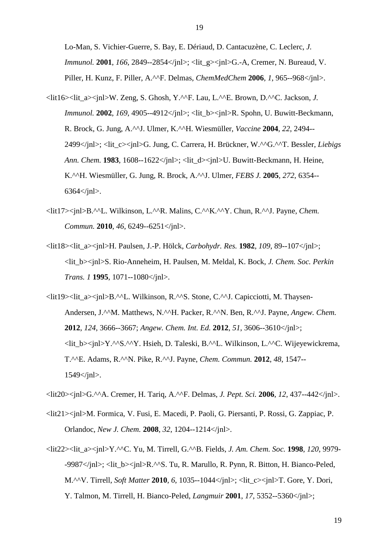Lo-Man, S. Vichier-Guerre, S. Bay, E. Dériaud, D. Cantacuzène, C. Leclerc, *J. Immunol.* **2001**, *166*, 2849--2854</jnl>; <lit\_g><jnl>G.-A, Cremer, N. Bureaud, V. Piller, H. Kunz, F. Piller, A.^^F. Delmas, *ChemMedChem* **2006**, *1*, 965--968</jnl>.

- <lit16><lit\_a><jnl>W. Zeng, S. Ghosh, Y.^^F. Lau, L.^^E. Brown, D.^^C. Jackson, *J. Immunol.* **2002**, *169*, 4905--4912</jnl>; <lit\_b><jnl>R. Spohn, U. Buwitt-Beckmann, R. Brock, G. Jung, A.^^J. Ulmer, K.^^H. Wiesmüller, *Vaccine* **2004**, *22*, 2494-- 2499</jnl>; <lit\_c><jnl>G. Jung, C. Carrera, H. Brückner, W.^^G.^^T. Bessler, *Liebigs Ann. Chem.* **1983**, 1608--1622</jnl>; <lit\_d><jnl>U. Buwitt-Beckmann, H. Heine, K.^^H. Wiesmüller, G. Jung, R. Brock, A.^^J. Ulmer, *FEBS J.* **2005**, *272*, 6354--  $6364 \le \frac{1}{10}$ .
- <lit17><jnl>B.^^L. Wilkinson, L.^^R. Malins, C.^^K.^^Y. Chun, R.^^J. Payne, *Chem. Commun.* **2010**, *46*, 6249--6251</jnl>.
- <lit18><lit\_a><jnl>H. Paulsen, J.-P. Hölck, *Carbohydr. Res.* **1982**, *109*, 89--107</jnl>; <lit\_b><jnl>S. Rio-Anneheim, H. Paulsen, M. Meldal, K. Bock, *J. Chem. Soc. Perkin Trans. 1* **1995**, 1071--1080</jnl>.
- <lit19><lit\_a><jnl>B.^^L. Wilkinson, R.^^S. Stone, C.^^J. Capicciotti, M. Thaysen-Andersen, J.^^M. Matthews, N.^^H. Packer, R.^^N. Ben, R.^^J. Payne, *Angew. Chem.* **2012**, *124*, 3666--3667; *Angew. Chem. Int. Ed.* **2012**, *51*, 3606--3610</jnl>; <lit\_b><jnl>Y.^^S.^^Y. Hsieh, D. Taleski, B.^^L. Wilkinson, L.^^C. Wijeyewickrema, T.^^E. Adams, R.^^N. Pike, R.^^J. Payne, *Chem. Commun.* **2012**, *48*, 1547--  $1549$   $\frac{\text{ln}}{2}$ .
- <lit20><jnl>G.^^A. Cremer, H. Tariq, A.^^F. Delmas, *J. Pept. Sci.* **2006**, *12*, 437--442</jnl>.
- <lit21><jnl>M. Formica, V. Fusi, E. Macedi, P. Paoli, G. Piersanti, P. Rossi, G. Zappiac, P. Orlandoc, *New J. Chem.* **2008**, *32*, 1204--1214</jnl>.
- <lit22><lit\_a><jnl>Y.^^C. Yu, M. Tirrell, G.^^B. Fields, *J. Am. Chem. Soc.* **1998**, *120*, 9979- -9987</jnl>; <lit\_b><jnl>R.^^S. Tu, R. Marullo, R. Pynn, R. Bitton, H. Bianco-Peled, M.^^V. Tirrell, *Soft Matter* **2010**, *6*, 1035--1044</jnl>; <lit\_c><jnl>T. Gore, Y. Dori, Y. Talmon, M. Tirrell, H. Bianco-Peled, *Langmuir* **2001**, *17*, 5352--5360</jnl>;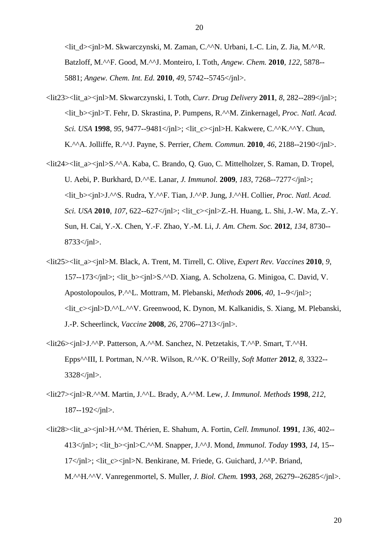<lit\_d><jnl>M. Skwarczynski, M. Zaman, C.^^N. Urbani, I.-C. Lin, Z. Jia, M.^^R. Batzloff, M.^^F. Good, M.^^J. Monteiro, I. Toth, *Angew. Chem.* **2010**, *122*, 5878-- 5881; *Angew. Chem. Int. Ed.* **2010**, *49*, 5742--5745</jnl>.

- <lit23><lit\_a><jnl>M. Skwarczynski, I. Toth, *Curr. Drug Delivery* **2011**, *8*, 282--289</jnl>; <lit\_b><jnl>T. Fehr, D. Skrastina, P. Pumpens, R.^^M. Zinkernagel, *Proc. Natl. Acad. Sci. USA* **1998**, *95*, 9477--9481</jnl>; <lit\_c><jnl>H. Kakwere, C.^^K.^^Y. Chun, K.^^A. Jolliffe, R.^^J. Payne, S. Perrier, *Chem. Commun.* **2010**, *46*, 2188--2190</jnl>.
- <lit24><lit\_a><jnl>S.^^A. Kaba, C. Brando, Q. Guo, C. Mittelholzer, S. Raman, D. Tropel, U. Aebi, P. Burkhard, D.^^E. Lanar, *J. Immunol.* **2009**, *183*, 7268--7277</jnl>; <lit\_b><jnl>J.^^S. Rudra, Y.^^F. Tian, J.^^P. Jung, J.^^H. Collier, *Proc. Natl. Acad. Sci. USA* **2010**, *107*, 622--627</jnl>; <lit\_c><jnl>Z.-H. Huang, L. Shi, J.-W. Ma, Z.-Y. Sun, H. Cai, Y.-X. Chen, Y.-F. Zhao, Y.-M. Li, *J. Am. Chem. Soc.* **2012**, *134*, 8730--  $8733 <$ /jnl>.
- <lit25><lit\_a><jnl>M. Black, A. Trent, M. Tirrell, C. Olive, *Expert Rev. Vaccines* **2010**, *9*, 157--173</jnl>; <lit\_b><jnl>S.^^D. Xiang, A. Scholzena, G. Minigoa, C. David, V. Apostolopoulos, P.^^L. Mottram, M. Plebanski, *Methods* **2006**, *40*, 1--9</jnl>; <lit\_c><jnl>D.^^L.^^V. Greenwood, K. Dynon, M. Kalkanidis, S. Xiang, M. Plebanski, J.-P. Scheerlinck, *Vaccine* **2008**, *26*, 2706--2713</jnl>.
- <lit26><jnl>J.^^P. Patterson, A.^^M. Sanchez, N. Petzetakis, T.^^P. Smart, T.^^H. Epps^^III, I. Portman, N.^^R. Wilson, R.^^K. O'Reilly, *Soft Matter* **2012**, *8*, 3322-- 3328</jnl>.
- <lit27><jnl>R.^^M. Martin, J.^^L. Brady, A.^^M. Lew, *J. Immunol. Methods* **1998**, *212*, 187--192</jnl>.
- <lit28><lit\_a><jnl>H.^^M. Thérien, E. Shahum, A. Fortin, *Cell. Immunol.* **1991**, *136*, 402-- 413</jnl>; <lit\_b><jnl>C.^^M. Snapper, J.^^J. Mond, *Immunol. Today* **1993**, *14*, 15-- 17</jnl>; <lit\_c><jnl>N. Benkirane, M. Friede, G. Guichard, J.^^P. Briand, M.^^H.^^V. Vanregenmortel, S. Muller, *J. Biol. Chem.* **1993**, *268*, 26279--26285</jnl>.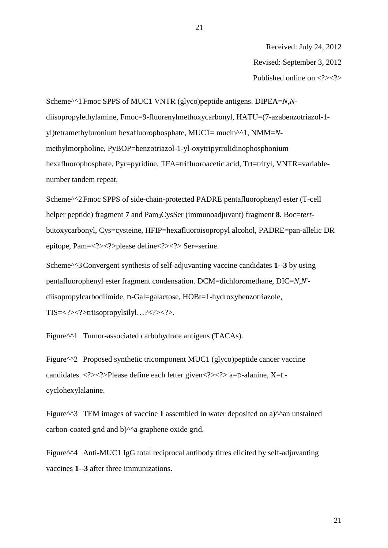Received: July 24, 2012

Revised: September 3, 2012

Published online on  $\langle ? \rangle \langle ? \rangle$ 

Scheme^^1Fmoc SPPS of MUC1 VNTR (glyco)peptide antigens. DIPEA=*N*,*N*diisopropylethylamine, Fmoc=9-fluorenylmethoxycarbonyl, HATU=(7-azabenzotriazol-1 yl)tetramethyluronium hexafluorophosphate, MUC1= mucin^^1, NMM=*N*methylmorpholine, PyBOP=benzotriazol-1-yl-oxytripyrrolidinophosphonium hexafluorophosphate, Pyr=pyridine, TFA=trifluoroacetic acid, Trt=trityl, VNTR=variablenumber tandem repeat.

Scheme^^2Fmoc SPPS of side-chain-protected PADRE pentafluorophenyl ester (T-cell helper peptide) fragment **7** and Pam3CysSer (immunoadjuvant) fragment **8**. Boc=*tert*butoxycarbonyl, Cys=cysteine, HFIP=hexafluoroisopropyl alcohol, PADRE=pan-allelic DR epitope,  $Pam = \langle ? \rangle \langle ? \rangle$ please define $\langle ? \rangle \langle ? \rangle$  Ser=serine.

Scheme^^3Convergent synthesis of self-adjuvanting vaccine candidates **1**--**3** by using pentafluorophenyl ester fragment condensation. DCM=dichloromethane, DIC=*N*,*N*' diisopropylcarbodiimide, D-Gal=galactose, HOBt=1-hydroxybenzotriazole,  $TIS=  \times$ : triisopropylsilyl $\ldots$ ?<?>.

Figure<sup> $\wedge$ 1</sup> Tumor-associated carbohydrate antigens (TACAs).

Figure<sup> $\wedge$ 2</sup> Proposed synthetic tricomponent MUC1 (glyco)peptide cancer vaccine candidates. <?><?>Please define each letter given<?><?> a=D-alanine, X=Lcyclohexylalanine.

Figure<sup> $\wedge$ 3 TEM images of vaccine 1 assembled in water deposited on a)<sup> $\wedge$ </sup>an unstained</sup> carbon-coated grid and  $b)^{\wedge}a$  graphene oxide grid.

Figure^^4 Anti-MUC1 IgG total reciprocal antibody titres elicited by self-adjuvanting vaccines **1**--**3** after three immunizations.